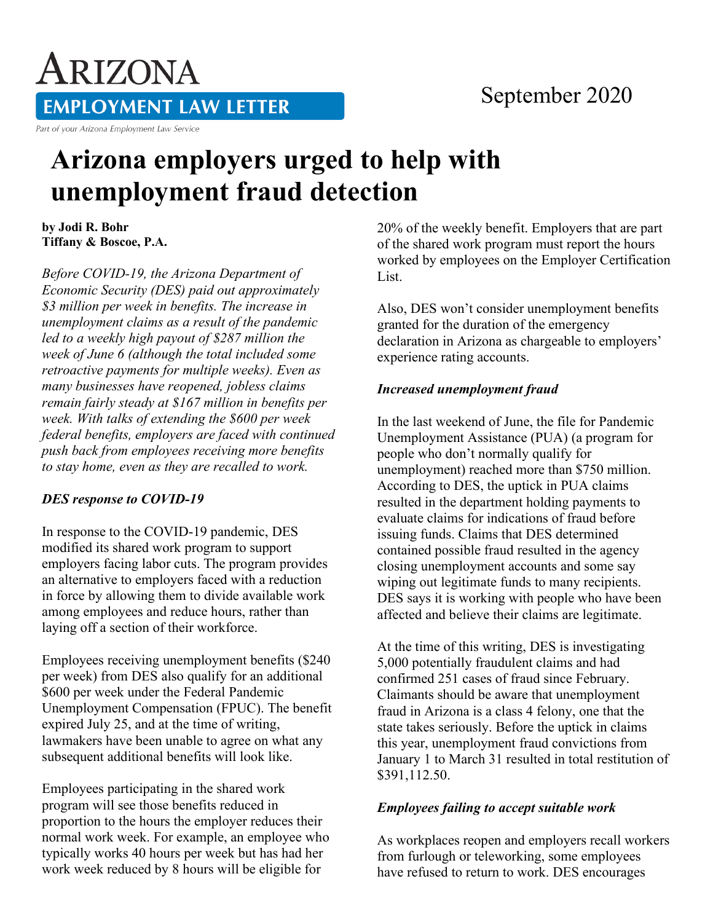## September 2020

ARIZONA **EMPLOYMENT LAW LETTER** Part of your Arizona Employment Law Service

# **Arizona employers urged to help with unemployment fraud detection**

**by Jodi R. Bohr Tiffany & Boscoe, P.A.**

*Before COVID-19, the Arizona Department of Economic Security (DES) paid out approximately \$3 million per week in benefits. The increase in unemployment claims as a result of the pandemic led to a weekly high payout of \$287 million the week of June 6 (although the total included some retroactive payments for multiple weeks). Even as many businesses have reopened, jobless claims remain fairly steady at \$167 million in benefits per week. With talks of extending the \$600 per week federal benefits, employers are faced with continued push back from employees receiving more benefits to stay home, even as they are recalled to work.*

#### *DES response to COVID-19*

In response to the COVID-19 pandemic, DES modified its shared work program to support employers facing labor cuts. The program provides an alternative to employers faced with a reduction in force by allowing them to divide available work among employees and reduce hours, rather than laying off a section of their workforce.

Employees receiving unemployment benefits (\$240 per week) from DES also qualify for an additional \$600 per week under the Federal Pandemic Unemployment Compensation (FPUC). The benefit expired July 25, and at the time of writing, lawmakers have been unable to agree on what any subsequent additional benefits will look like.

Employees participating in the shared work program will see those benefits reduced in proportion to the hours the employer reduces their normal work week. For example, an employee who typically works 40 hours per week but has had her work week reduced by 8 hours will be eligible for

20% of the weekly benefit. Employers that are part of the shared work program must report the hours worked by employees on the Employer Certification List.

Also, DES won't consider unemployment benefits granted for the duration of the emergency declaration in Arizona as chargeable to employers' experience rating accounts.

#### *Increased unemployment fraud*

In the last weekend of June, the file for Pandemic Unemployment Assistance (PUA) (a program for people who don't normally qualify for unemployment) reached more than \$750 million. According to DES, the uptick in PUA claims resulted in the department holding payments to evaluate claims for indications of fraud before issuing funds. Claims that DES determined contained possible fraud resulted in the agency closing unemployment accounts and some say wiping out legitimate funds to many recipients. DES says it is working with people who have been affected and believe their claims are legitimate.

At the time of this writing, DES is investigating 5,000 potentially fraudulent claims and had confirmed 251 cases of fraud since February. Claimants should be aware that unemployment fraud in Arizona is a class 4 felony, one that the state takes seriously. Before the uptick in claims this year, unemployment fraud convictions from January 1 to March 31 resulted in total restitution of \$391,112.50.

### *Employees failing to accept suitable work*

As workplaces reopen and employers recall workers from furlough or teleworking, some employees have refused to return to work. DES encourages